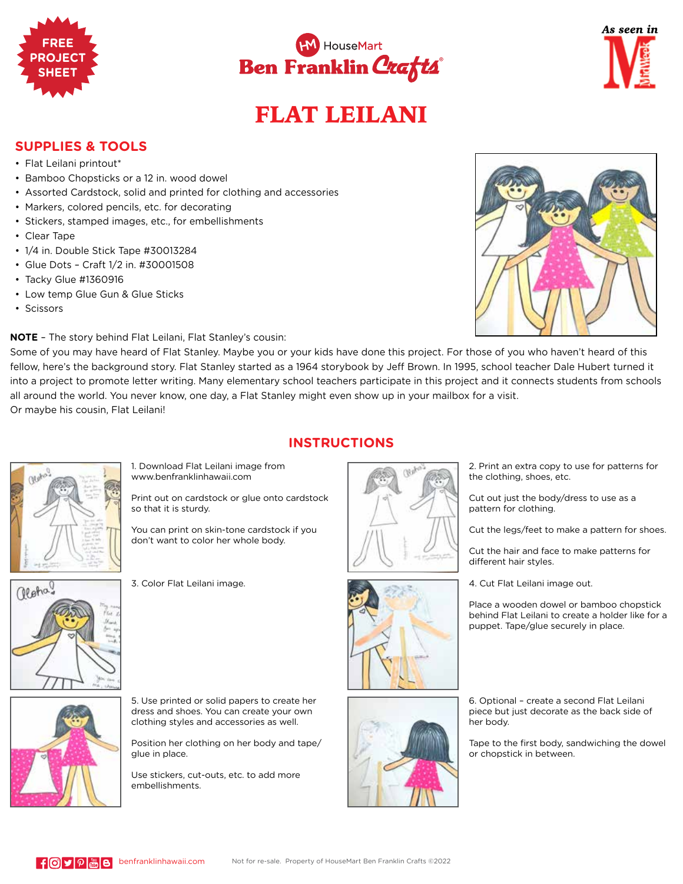





## FLAT LEILANI

## **SUPPLIES & TOOLS**

- Flat Leilani printout\*
- Bamboo Chopsticks or a 12 in. wood dowel
- Assorted Cardstock, solid and printed for clothing and accessories
- Markers, colored pencils, etc. for decorating
- Stickers, stamped images, etc., for embellishments
- Clear Tape
- 1/4 in. Double Stick Tape #30013284
- Glue Dots Craft 1/2 in. #30001508
- Tacky Glue #1360916
- Low temp Glue Gun & Glue Sticks
- Scissors

**NOTE** – The story behind Flat Leilani, Flat Stanley's cousin:

Some of you may have heard of Flat Stanley. Maybe you or your kids have done this project. For those of you who haven't heard of this fellow, here's the background story. Flat Stanley started as a 1964 storybook by Jeff Brown. In 1995, school teacher Dale Hubert turned it into a project to promote letter writing. Many elementary school teachers participate in this project and it connects students from schools all around the world. You never know, one day, a Flat Stanley might even show up in your mailbox for a visit. Or maybe his cousin, Flat Leilani!



**INSTRUCTIONS**



1. Download Flat Leilani image from www.benfranklinhawaii.com

Print out on cardstock or glue onto cardstock so that it is sturdy.

You can print on skin-tone cardstock if you don't want to color her whole body.



3. Color Flat Leilani image.





6. Optional – create a second Flat Leilani piece but just decorate as the back side of her body.

Tape to the first body, sandwiching the dowel or chopstick in between.



dress and shoes. You can create your own clothing styles and accessories as well.

5. Use printed or solid papers to create her

Position her clothing on her body and tape/ glue in place.

Use stickers, cut-outs, etc. to add more embellishments.





Cut out just the body/dress to use as a pattern for clothing.

Cut the legs/feet to make a pattern for shoes.

Cut the hair and face to make patterns for different hair styles.

4. Cut Flat Leilani image out.

Place a wooden dowel or bamboo chopstick behind Flat Leilani to create a holder like for a puppet. Tape/glue securely in place.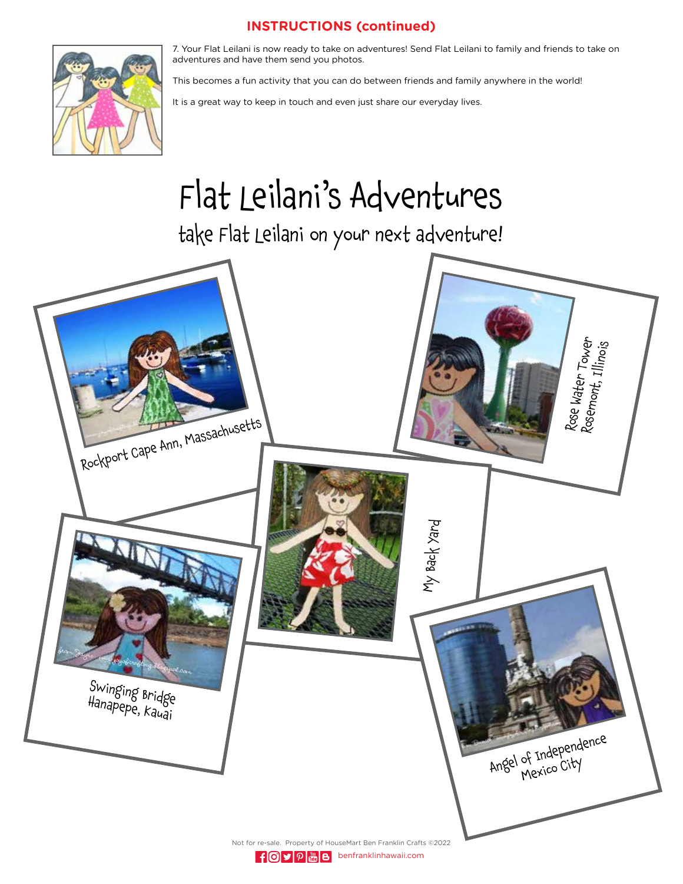## **INSTRUCTIONS (continued)**



7. Your Flat Leilani is now ready to take on adventures! Send Flat Leilani to family and friends to take on adventures and have them send you photos.

This becomes a fun activity that you can do between friends and family anywhere in the world!

It is a great way to keep in touch and even just share our everyday lives.

## Flat Leilani's Adventures

take Flat Leilani on your next adventure!